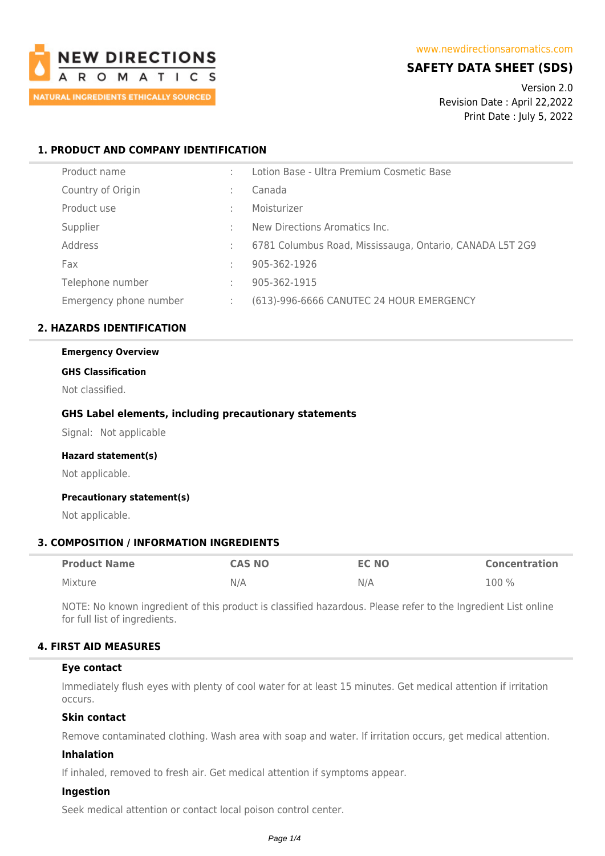

# **SAFETY DATA SHEET (SDS)**

Version 2.0 Revision Date : April 22,2022 Print Date : July 5, 2022

## **1. PRODUCT AND COMPANY IDENTIFICATION**

| Product name           |   | Lotion Base - Ultra Premium Cosmetic Base                |
|------------------------|---|----------------------------------------------------------|
| Country of Origin      | ÷ | Canada                                                   |
| Product use            | ÷ | Moisturizer                                              |
| Supplier               | ÷ | New Directions Aromatics Inc.                            |
| Address                |   | 6781 Columbus Road, Mississauga, Ontario, CANADA L5T 2G9 |
| Fax                    | ÷ | 905-362-1926                                             |
| Telephone number       | ÷ | 905-362-1915                                             |
| Emergency phone number | ÷ | (613)-996-6666 CANUTEC 24 HOUR EMERGENCY                 |

## **2. HAZARDS IDENTIFICATION**

# **Emergency Overview**

## **GHS Classification**

Not classified.

## **GHS Label elements, including precautionary statements**

Signal: Not applicable

#### **Hazard statement(s)**

Not applicable.

#### **Precautionary statement(s)**

Not applicable.

## **3. COMPOSITION / INFORMATION INGREDIENTS**

| <b>Product Name</b> | <b>CAS NO</b> | <b>EC NO</b> | <b>Concentration</b> |
|---------------------|---------------|--------------|----------------------|
| Mixture             | N/A           | N/A          | $100\%$              |

NOTE: No known ingredient of this product is classified hazardous. Please refer to the Ingredient List online for full list of ingredients.

## **4. FIRST AID MEASURES**

#### **Eye contact**

Immediately flush eyes with plenty of cool water for at least 15 minutes. Get medical attention if irritation occurs.

## **Skin contact**

Remove contaminated clothing. Wash area with soap and water. If irritation occurs, get medical attention.

## **Inhalation**

If inhaled, removed to fresh air. Get medical attention if symptoms appear.

#### **Ingestion**

Seek medical attention or contact local poison control center.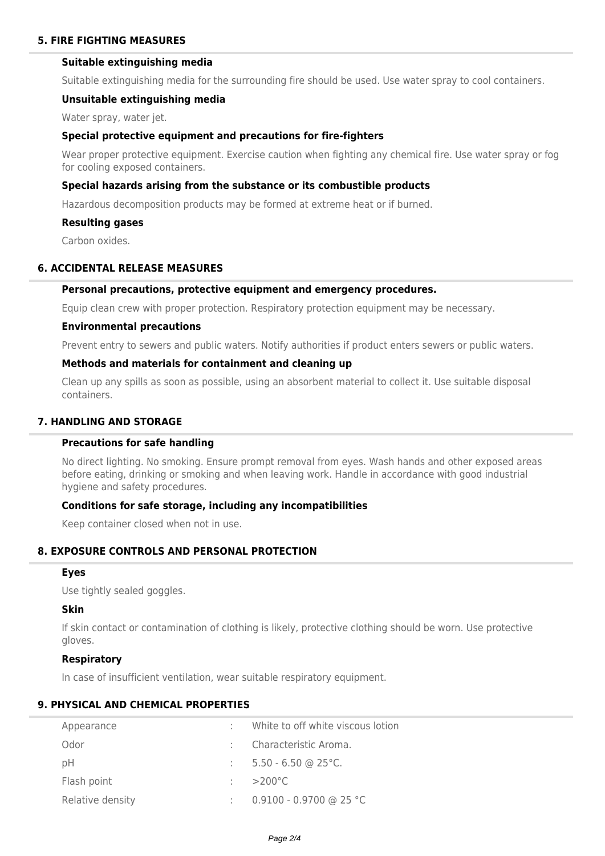## **Suitable extinguishing media**

Suitable extinguishing media for the surrounding fire should be used. Use water spray to cool containers.

#### **Unsuitable extinguishing media**

Water spray, water jet.

### **Special protective equipment and precautions for fire-fighters**

Wear proper protective equipment. Exercise caution when fighting any chemical fire. Use water spray or fog for cooling exposed containers.

### **Special hazards arising from the substance or its combustible products**

Hazardous decomposition products may be formed at extreme heat or if burned.

#### **Resulting gases**

Carbon oxides.

### **6. ACCIDENTAL RELEASE MEASURES**

#### **Personal precautions, protective equipment and emergency procedures.**

Equip clean crew with proper protection. Respiratory protection equipment may be necessary.

#### **Environmental precautions**

Prevent entry to sewers and public waters. Notify authorities if product enters sewers or public waters.

## **Methods and materials for containment and cleaning up**

Clean up any spills as soon as possible, using an absorbent material to collect it. Use suitable disposal containers.

## **7. HANDLING AND STORAGE**

## **Precautions for safe handling**

No direct lighting. No smoking. Ensure prompt removal from eyes. Wash hands and other exposed areas before eating, drinking or smoking and when leaving work. Handle in accordance with good industrial hygiene and safety procedures.

### **Conditions for safe storage, including any incompatibilities**

Keep container closed when not in use.

# **8. EXPOSURE CONTROLS AND PERSONAL PROTECTION**

#### **Eyes**

Use tightly sealed goggles.

#### **Skin**

If skin contact or contamination of clothing is likely, protective clothing should be worn. Use protective gloves.

#### **Respiratory**

In case of insufficient ventilation, wear suitable respiratory equipment.

### **9. PHYSICAL AND CHEMICAL PROPERTIES**

| Appearance       | White to off white viscous lotion |
|------------------|-----------------------------------|
| Odor             | Characteristic Aroma.             |
| рH               | $5.50 - 6.50$ @ 25°C.             |
| Flash point      | $>$ 200°C                         |
| Relative density | 0.9100 - 0.9700 @ 25 °C           |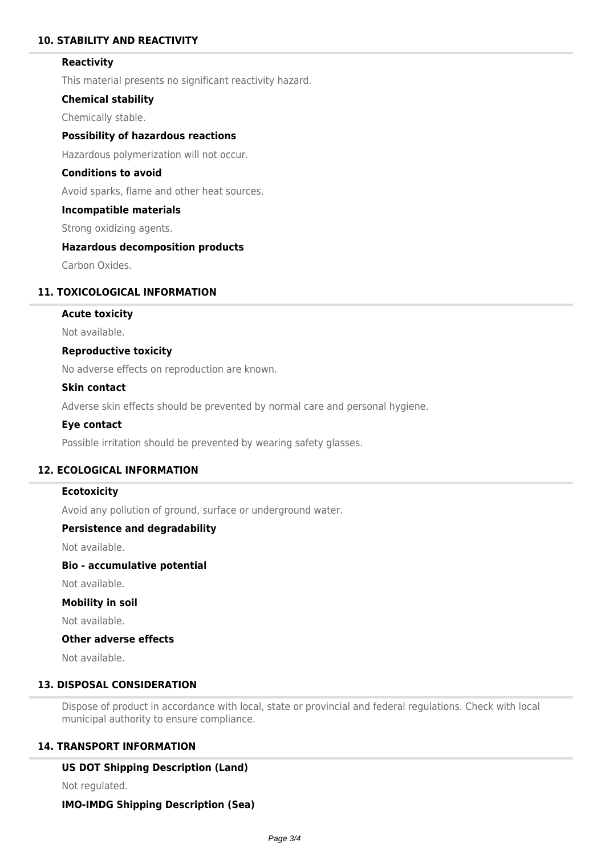## **10. STABILITY AND REACTIVITY**

### **Reactivity**

This material presents no significant reactivity hazard.

### **Chemical stability**

Chemically stable.

## **Possibility of hazardous reactions**

Hazardous polymerization will not occur.

## **Conditions to avoid**

Avoid sparks, flame and other heat sources.

#### **Incompatible materials**

Strong oxidizing agents.

#### **Hazardous decomposition products**

Carbon Oxides.

## **11. TOXICOLOGICAL INFORMATION**

## **Acute toxicity**

Not available.

#### **Reproductive toxicity**

No adverse effects on reproduction are known.

### **Skin contact**

Adverse skin effects should be prevented by normal care and personal hygiene.

#### **Eye contact**

Possible irritation should be prevented by wearing safety glasses.

## **12. ECOLOGICAL INFORMATION**

### **Ecotoxicity**

Avoid any pollution of ground, surface or underground water.

### **Persistence and degradability**

Not available.

## **Bio - accumulative potential**

Not available.

#### **Mobility in soil**

Not available.

### **Other adverse effects**

Not available.

## **13. DISPOSAL CONSIDERATION**

Dispose of product in accordance with local, state or provincial and federal regulations. Check with local municipal authority to ensure compliance.

### **14. TRANSPORT INFORMATION**

### **US DOT Shipping Description (Land)**

Not regulated.

#### **IMO-IMDG Shipping Description (Sea)**